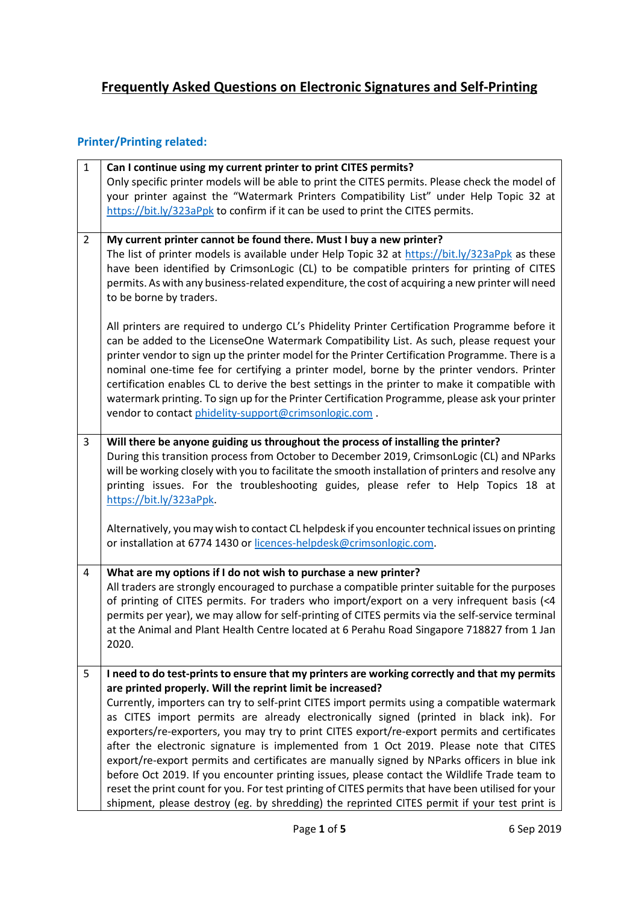## **Frequently Asked Questions on Electronic Signatures and Self-Printing**

## **Printer/Printing related:**

| $\mathbf{1}$   | Can I continue using my current printer to print CITES permits?<br>Only specific printer models will be able to print the CITES permits. Please check the model of<br>your printer against the "Watermark Printers Compatibility List" under Help Topic 32 at<br>https://bit.ly/323aPpk to confirm if it can be used to print the CITES permits.                                                                                                                                                                                                                                                                                                          |
|----------------|-----------------------------------------------------------------------------------------------------------------------------------------------------------------------------------------------------------------------------------------------------------------------------------------------------------------------------------------------------------------------------------------------------------------------------------------------------------------------------------------------------------------------------------------------------------------------------------------------------------------------------------------------------------|
| $\overline{2}$ | My current printer cannot be found there. Must I buy a new printer?<br>The list of printer models is available under Help Topic 32 at https://bit.ly/323aPpk as these<br>have been identified by CrimsonLogic (CL) to be compatible printers for printing of CITES<br>permits. As with any business-related expenditure, the cost of acquiring a new printer will need<br>to be borne by traders.                                                                                                                                                                                                                                                         |
|                | All printers are required to undergo CL's Phidelity Printer Certification Programme before it<br>can be added to the LicenseOne Watermark Compatibility List. As such, please request your<br>printer vendor to sign up the printer model for the Printer Certification Programme. There is a<br>nominal one-time fee for certifying a printer model, borne by the printer vendors. Printer<br>certification enables CL to derive the best settings in the printer to make it compatible with<br>watermark printing. To sign up for the Printer Certification Programme, please ask your printer<br>vendor to contact phidelity-support@crimsonlogic.com. |
| 3              | Will there be anyone guiding us throughout the process of installing the printer?<br>During this transition process from October to December 2019, CrimsonLogic (CL) and NParks<br>will be working closely with you to facilitate the smooth installation of printers and resolve any<br>printing issues. For the troubleshooting guides, please refer to Help Topics 18 at<br>https://bit.ly/323aPpk                                                                                                                                                                                                                                                     |
|                | Alternatively, you may wish to contact CL helpdesk if you encounter technical issues on printing<br>or installation at 6774 1430 or licences-helpdesk@crimsonlogic.com.                                                                                                                                                                                                                                                                                                                                                                                                                                                                                   |
| 4              | What are my options if I do not wish to purchase a new printer?<br>All traders are strongly encouraged to purchase a compatible printer suitable for the purposes<br>of printing of CITES permits. For traders who import/export on a very infrequent basis (<4<br>permits per year), we may allow for self-printing of CITES permits via the self-service terminal<br>at the Animal and Plant Health Centre located at 6 Perahu Road Singapore 718827 from 1 Jan<br>2020.                                                                                                                                                                                |
| 5              | I need to do test-prints to ensure that my printers are working correctly and that my permits                                                                                                                                                                                                                                                                                                                                                                                                                                                                                                                                                             |
|                | are printed properly. Will the reprint limit be increased?                                                                                                                                                                                                                                                                                                                                                                                                                                                                                                                                                                                                |
|                | Currently, importers can try to self-print CITES import permits using a compatible watermark<br>as CITES import permits are already electronically signed (printed in black ink). For                                                                                                                                                                                                                                                                                                                                                                                                                                                                     |
|                | exporters/re-exporters, you may try to print CITES export/re-export permits and certificates                                                                                                                                                                                                                                                                                                                                                                                                                                                                                                                                                              |
|                | after the electronic signature is implemented from 1 Oct 2019. Please note that CITES<br>export/re-export permits and certificates are manually signed by NParks officers in blue ink                                                                                                                                                                                                                                                                                                                                                                                                                                                                     |
|                | before Oct 2019. If you encounter printing issues, please contact the Wildlife Trade team to                                                                                                                                                                                                                                                                                                                                                                                                                                                                                                                                                              |
|                | reset the print count for you. For test printing of CITES permits that have been utilised for your<br>shipment, please destroy (eg. by shredding) the reprinted CITES permit if your test print is                                                                                                                                                                                                                                                                                                                                                                                                                                                        |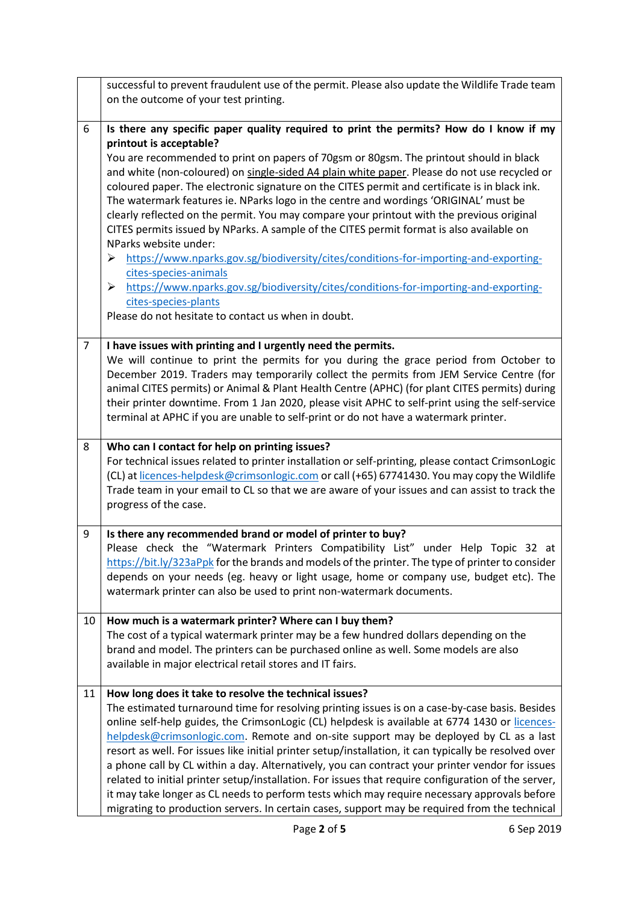|                | successful to prevent fraudulent use of the permit. Please also update the Wildlife Trade team<br>on the outcome of your test printing.                                                                                                                                                                                                                                                                                                                                                                                                                                                                                                                                                                                                                                                                                                                                                                                                                                                                                  |
|----------------|--------------------------------------------------------------------------------------------------------------------------------------------------------------------------------------------------------------------------------------------------------------------------------------------------------------------------------------------------------------------------------------------------------------------------------------------------------------------------------------------------------------------------------------------------------------------------------------------------------------------------------------------------------------------------------------------------------------------------------------------------------------------------------------------------------------------------------------------------------------------------------------------------------------------------------------------------------------------------------------------------------------------------|
| 6              | Is there any specific paper quality required to print the permits? How do I know if my<br>printout is acceptable?<br>You are recommended to print on papers of 70gsm or 80gsm. The printout should in black<br>and white (non-coloured) on single-sided A4 plain white paper. Please do not use recycled or<br>coloured paper. The electronic signature on the CITES permit and certificate is in black ink.<br>The watermark features ie. NParks logo in the centre and wordings 'ORIGINAL' must be<br>clearly reflected on the permit. You may compare your printout with the previous original<br>CITES permits issued by NParks. A sample of the CITES permit format is also available on<br>NParks website under:<br>https://www.nparks.gov.sg/biodiversity/cites/conditions-for-importing-and-exporting-<br>➤<br>cites-species-animals<br>https://www.nparks.gov.sg/biodiversity/cites/conditions-for-importing-and-exporting-<br>➤<br>cites-species-plants<br>Please do not hesitate to contact us when in doubt. |
| $\overline{7}$ | I have issues with printing and I urgently need the permits.<br>We will continue to print the permits for you during the grace period from October to<br>December 2019. Traders may temporarily collect the permits from JEM Service Centre (for<br>animal CITES permits) or Animal & Plant Health Centre (APHC) (for plant CITES permits) during<br>their printer downtime. From 1 Jan 2020, please visit APHC to self-print using the self-service<br>terminal at APHC if you are unable to self-print or do not have a watermark printer.                                                                                                                                                                                                                                                                                                                                                                                                                                                                             |
| 8              | Who can I contact for help on printing issues?<br>For technical issues related to printer installation or self-printing, please contact CrimsonLogic<br>(CL) at licences-helpdesk@crimsonlogic.com or call (+65) 67741430. You may copy the Wildlife<br>Trade team in your email to CL so that we are aware of your issues and can assist to track the<br>progress of the case.                                                                                                                                                                                                                                                                                                                                                                                                                                                                                                                                                                                                                                          |
| 9              | Is there any recommended brand or model of printer to buy?<br>Please check the "Watermark Printers Compatibility List" under Help Topic 32 at<br>https://bit.ly/323aPpk for the brands and models of the printer. The type of printer to consider<br>depends on your needs (eg. heavy or light usage, home or company use, budget etc). The<br>watermark printer can also be used to print non-watermark documents.                                                                                                                                                                                                                                                                                                                                                                                                                                                                                                                                                                                                      |
| 10             | How much is a watermark printer? Where can I buy them?<br>The cost of a typical watermark printer may be a few hundred dollars depending on the<br>brand and model. The printers can be purchased online as well. Some models are also<br>available in major electrical retail stores and IT fairs.                                                                                                                                                                                                                                                                                                                                                                                                                                                                                                                                                                                                                                                                                                                      |
| 11             | How long does it take to resolve the technical issues?<br>The estimated turnaround time for resolving printing issues is on a case-by-case basis. Besides<br>online self-help guides, the CrimsonLogic (CL) helpdesk is available at 6774 1430 or licences-<br>helpdesk@crimsonlogic.com. Remote and on-site support may be deployed by CL as a last<br>resort as well. For issues like initial printer setup/installation, it can typically be resolved over<br>a phone call by CL within a day. Alternatively, you can contract your printer vendor for issues<br>related to initial printer setup/installation. For issues that require configuration of the server,<br>it may take longer as CL needs to perform tests which may require necessary approvals before<br>migrating to production servers. In certain cases, support may be required from the technical                                                                                                                                                 |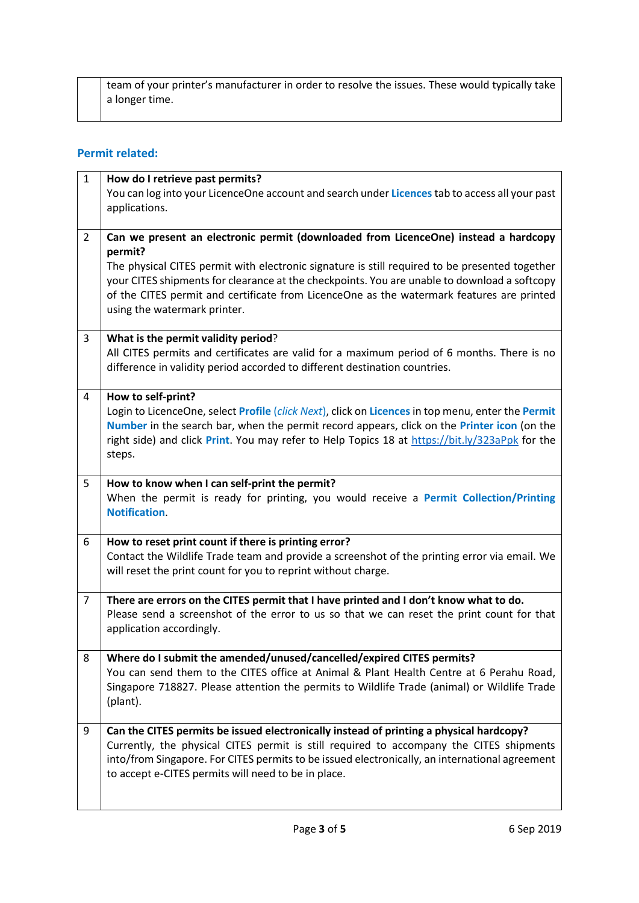team of your printer's manufacturer in order to resolve the issues. These would typically take a longer time.

## **Permit related:**

| $\mathbf{1}$   | How do I retrieve past permits?                                                                                                                                                                  |
|----------------|--------------------------------------------------------------------------------------------------------------------------------------------------------------------------------------------------|
|                | You can log into your LicenceOne account and search under Licences tab to access all your past                                                                                                   |
|                | applications.                                                                                                                                                                                    |
|                |                                                                                                                                                                                                  |
| $\overline{2}$ | Can we present an electronic permit (downloaded from LicenceOne) instead a hardcopy                                                                                                              |
|                | permit?                                                                                                                                                                                          |
|                | The physical CITES permit with electronic signature is still required to be presented together                                                                                                   |
|                | your CITES shipments for clearance at the checkpoints. You are unable to download a softcopy<br>of the CITES permit and certificate from LicenceOne as the watermark features are printed        |
|                | using the watermark printer.                                                                                                                                                                     |
|                |                                                                                                                                                                                                  |
| 3              | What is the permit validity period?                                                                                                                                                              |
|                | All CITES permits and certificates are valid for a maximum period of 6 months. There is no                                                                                                       |
|                | difference in validity period accorded to different destination countries.                                                                                                                       |
|                |                                                                                                                                                                                                  |
| 4              | How to self-print?                                                                                                                                                                               |
|                | Login to LicenceOne, select Profile (click Next), click on Licences in top menu, enter the Permit<br>Number in the search bar, when the permit record appears, click on the Printer icon (on the |
|                | right side) and click Print. You may refer to Help Topics 18 at https://bit.ly/323aPpk for the                                                                                                   |
|                | steps.                                                                                                                                                                                           |
|                |                                                                                                                                                                                                  |
| 5              | How to know when I can self-print the permit?                                                                                                                                                    |
|                | When the permit is ready for printing, you would receive a Permit Collection/Printing                                                                                                            |
|                | Notification.                                                                                                                                                                                    |
| 6              | How to reset print count if there is printing error?                                                                                                                                             |
|                | Contact the Wildlife Trade team and provide a screenshot of the printing error via email. We                                                                                                     |
|                | will reset the print count for you to reprint without charge.                                                                                                                                    |
|                |                                                                                                                                                                                                  |
| $\overline{7}$ | There are errors on the CITES permit that I have printed and I don't know what to do.                                                                                                            |
|                | Please send a screenshot of the error to us so that we can reset the print count for that                                                                                                        |
|                | application accordingly.                                                                                                                                                                         |
| 8              | Where do I submit the amended/unused/cancelled/expired CITES permits?                                                                                                                            |
|                | You can send them to the CITES office at Animal & Plant Health Centre at 6 Perahu Road,                                                                                                          |
|                | Singapore 718827. Please attention the permits to Wildlife Trade (animal) or Wildlife Trade                                                                                                      |
|                | (plant).                                                                                                                                                                                         |
|                |                                                                                                                                                                                                  |
| 9              | Can the CITES permits be issued electronically instead of printing a physical hardcopy?                                                                                                          |
|                | Currently, the physical CITES permit is still required to accompany the CITES shipments                                                                                                          |
|                | into/from Singapore. For CITES permits to be issued electronically, an international agreement                                                                                                   |
|                | to accept e-CITES permits will need to be in place.                                                                                                                                              |
|                |                                                                                                                                                                                                  |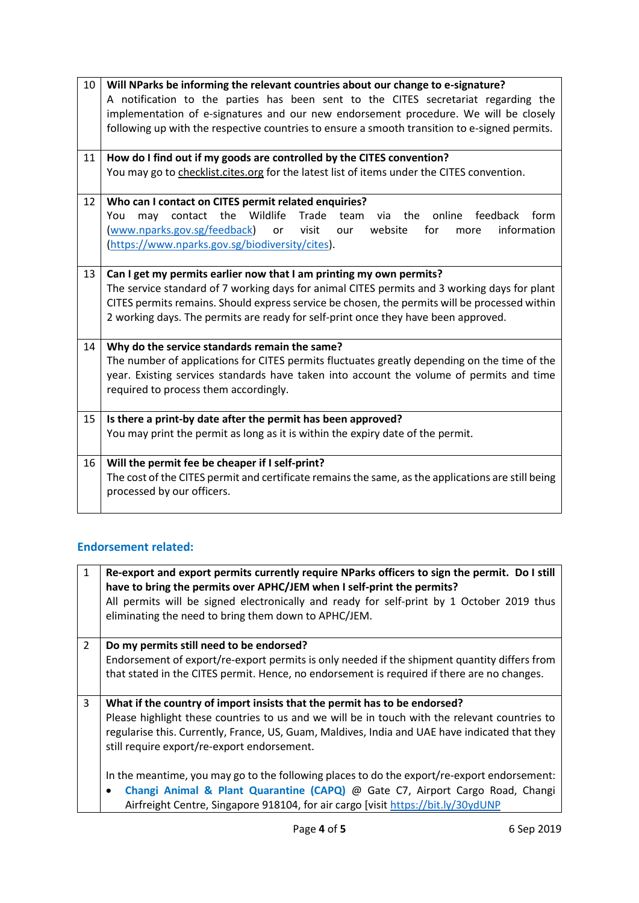| 10 | Will NParks be informing the relevant countries about our change to e-signature?                   |
|----|----------------------------------------------------------------------------------------------------|
|    | A notification to the parties has been sent to the CITES secretariat regarding the                 |
|    | implementation of e-signatures and our new endorsement procedure. We will be closely               |
|    | following up with the respective countries to ensure a smooth transition to e-signed permits.      |
|    |                                                                                                    |
| 11 | How do I find out if my goods are controlled by the CITES convention?                              |
|    | You may go to checklist.cites.org for the latest list of items under the CITES convention.         |
|    |                                                                                                    |
| 12 | Who can I contact on CITES permit related enquiries?                                               |
|    | contact the Wildlife<br>Trade<br>online feedback<br>form<br>You<br>the<br>may<br>team<br>via       |
|    | (www.nparks.gov.sg/feedback)<br>visit<br>website<br>for<br>information<br>or<br>our<br>more        |
|    | (https://www.nparks.gov.sg/biodiversity/cites).                                                    |
|    |                                                                                                    |
| 13 | Can I get my permits earlier now that I am printing my own permits?                                |
|    | The service standard of 7 working days for animal CITES permits and 3 working days for plant       |
|    | CITES permits remains. Should express service be chosen, the permits will be processed within      |
|    | 2 working days. The permits are ready for self-print once they have been approved.                 |
|    |                                                                                                    |
| 14 | Why do the service standards remain the same?                                                      |
|    | The number of applications for CITES permits fluctuates greatly depending on the time of the       |
|    | year. Existing services standards have taken into account the volume of permits and time           |
|    | required to process them accordingly.                                                              |
|    |                                                                                                    |
| 15 | Is there a print-by date after the permit has been approved?                                       |
|    | You may print the permit as long as it is within the expiry date of the permit.                    |
|    |                                                                                                    |
| 16 | Will the permit fee be cheaper if I self-print?                                                    |
|    | The cost of the CITES permit and certificate remains the same, as the applications are still being |
|    | processed by our officers.                                                                         |
|    |                                                                                                    |

## **Endorsement related:**

| $\mathbf{1}$   | Re-export and export permits currently require NParks officers to sign the permit. Do I still<br>have to bring the permits over APHC/JEM when I self-print the permits?<br>All permits will be signed electronically and ready for self-print by 1 October 2019 thus<br>eliminating the need to bring them down to APHC/JEM. |
|----------------|------------------------------------------------------------------------------------------------------------------------------------------------------------------------------------------------------------------------------------------------------------------------------------------------------------------------------|
| $\overline{2}$ | Do my permits still need to be endorsed?<br>Endorsement of export/re-export permits is only needed if the shipment quantity differs from                                                                                                                                                                                     |
|                | that stated in the CITES permit. Hence, no endorsement is required if there are no changes.                                                                                                                                                                                                                                  |
| 3              | What if the country of import insists that the permit has to be endorsed?<br>Please highlight these countries to us and we will be in touch with the relevant countries to<br>regularise this. Currently, France, US, Guam, Maldives, India and UAE have indicated that they<br>still require export/re-export endorsement.  |
|                | In the meantime, you may go to the following places to do the export/re-export endorsement:<br>Changi Animal & Plant Quarantine (CAPQ) @ Gate C7, Airport Cargo Road, Changi<br>Airfreight Centre, Singapore 918104, for air cargo [visit https://bit.ly/30ydUNP                                                             |